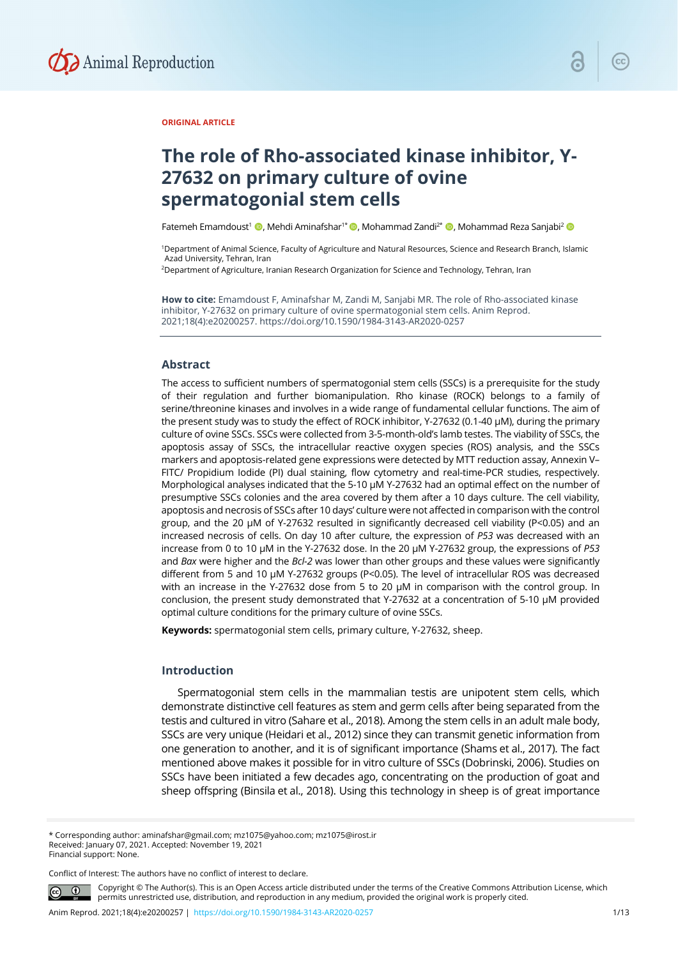

## **ORIGINAL ARTICLE**

# **The role of Rho-associated kinase inhibitor, Y-27632 on primary culture of ovine spermatogonial stem cells**

Fatemeh Emamdoust<sup>1</sup> (D, Mehdi Aminafshar<sup>1\*</sup> (D, Mohammad Zandi<sup>2\*</sup> (D, Mohammad Reza Sanjabi<sup>2</sup> (D

1Department of Animal Science, Faculty of Agriculture and Natural Resources, Science and Research Branch, Islamic Azad University, Tehran, Iran

2Department of Agriculture, Iranian Research Organization for Science and Technology, Tehran, Iran

**How to cite:** Emamdoust F, Aminafshar M, Zandi M, Sanjabi MR. The role of Rho-associated kinase inhibitor, Y-27632 on primary culture of ovine spermatogonial stem cells. Anim Reprod. 2021;18(4):e20200257. https://doi.org/10.1590/1984-3143-AR2020-0257

#### **Abstract**

The access to sufficient numbers of spermatogonial stem cells (SSCs) is a prerequisite for the study of their regulation and further biomanipulation. Rho kinase (ROCK) belongs to a family of serine/threonine kinases and involves in a wide range of fundamental cellular functions. The aim of the present study was to study the effect of ROCK inhibitor, Y-27632 (0.1-40 µM), during the primary culture of ovine SSCs. SSCs were collected from 3-5-month-old's lamb testes. The viability of SSCs, the apoptosis assay of SSCs, the intracellular reactive oxygen species (ROS) analysis, and the SSCs markers and apoptosis-related gene expressions were detected by MTT reduction assay, Annexin V– FITC/ Propidium Iodide (PI) dual staining, flow cytometry and real-time-PCR studies, respectively. Morphological analyses indicated that the 5-10 µM Y-27632 had an optimal effect on the number of presumptive SSCs colonies and the area covered by them after a 10 days culture. The cell viability, apoptosis and necrosis of SSCs after 10 days' culture were not affected in comparison with the control group, and the 20 µM of Y-27632 resulted in significantly decreased cell viability (P<0.05) and an increased necrosis of cells. On day 10 after culture, the expression of *P53* was decreased with an increase from 0 to 10 µM in the Y-27632 dose. In the 20 µM Y-27632 group, the expressions of *P53* and *Bax* were higher and the *Bcl-2* was lower than other groups and these values were significantly different from 5 and 10 µM Y-27632 groups (P<0.05). The level of intracellular ROS was decreased with an increase in the Y-27632 dose from 5 to 20  $\mu$ M in comparison with the control group. In conclusion, the present study demonstrated that Y-27632 at a concentration of 5-10 µM provided optimal culture conditions for the primary culture of ovine SSCs.

**Keywords:** spermatogonial stem cells, primary culture, Y-27632, sheep.

## **Introduction**

Spermatogonial stem cells in the mammalian testis are unipotent stem cells, which demonstrate distinctive cell features as stem and germ cells after being separated from the testis and cultured in vitro (Sahare et al., 2018). Among the stem cells in an adult male body, SSCs are very unique (Heidari et al., 2012) since they can transmit genetic information from one generation to another, and it is of significant importance (Shams et al., 2017). The fact mentioned above makes it possible for in vitro culture of SSCs (Dobrinski, 2006). Studies on SSCs have been initiated a few decades ago, concentrating on the production of goat and sheep offspring (Binsila et al., 2018). Using this technology in sheep is of great importance

\* Corresponding author: aminafshar@gmail.com; mz1075@yahoo.com; mz1075@irost.ir Received: January 07, 2021. Accepted: November 19, 2021 Financial support: None.

Conflict of Interest: The authors have no conflict of interest to declare.

Copyright © The Author(s). This is an Open Access article distributed under the terms of the Creative Commons Attribution License, which permits unrestricted use, distribution, and reproduction in any medium, provided the original work is properly cited.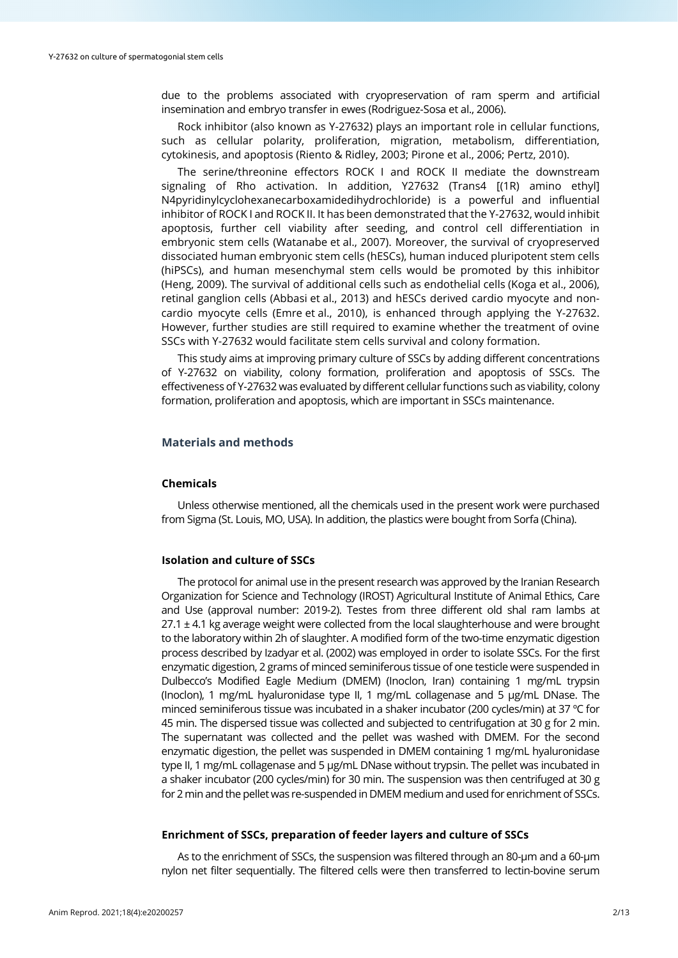due to the problems associated with cryopreservation of ram sperm and artificial insemination and embryo transfer in ewes (Rodriguez-Sosa et al., 2006).

Rock inhibitor (also known as Y-27632) plays an important role in cellular functions, such as cellular polarity, proliferation, migration, metabolism, differentiation, cytokinesis, and apoptosis (Riento & Ridley, 2003; Pirone et al., 2006; Pertz, 2010).

The serine/threonine effectors ROCK I and ROCK II mediate the downstream signaling of Rho activation. In addition, Y27632 (Trans4 [(1R) amino ethyl] N4pyridinylcyclohexanecarboxamidedihydrochloride) is a powerful and influential inhibitor of ROCK I and ROCK II. It has been demonstrated that the Y-27632, would inhibit apoptosis, further cell viability after seeding, and control cell differentiation in embryonic stem cells (Watanabe et al., 2007). Moreover, the survival of cryopreserved dissociated human embryonic stem cells (hESCs), human induced pluripotent stem cells (hiPSCs), and human mesenchymal stem cells would be promoted by this inhibitor (Heng, 2009). The survival of additional cells such as endothelial cells (Koga et al., 2006), retinal ganglion cells (Abbasi et al., 2013) and hESCs derived cardio myocyte and noncardio myocyte cells (Emre et al., 2010), is enhanced through applying the Y-27632. However, further studies are still required to examine whether the treatment of ovine SSCs with Y-27632 would facilitate stem cells survival and colony formation.

This study aims at improving primary culture of SSCs by adding different concentrations of Y-27632 on viability, colony formation, proliferation and apoptosis of SSCs. The effectiveness of Y-27632 was evaluated by different cellular functions such as viability, colony formation, proliferation and apoptosis, which are important in SSCs maintenance.

# **Materials and methods**

#### **Chemicals**

Unless otherwise mentioned, all the chemicals used in the present work were purchased from Sigma (St. Louis, MO, USA). In addition, the plastics were bought from Sorfa (China).

#### **Isolation and culture of SSCs**

The protocol for animal use in the present research was approved by the Iranian Research Organization for Science and Technology (IROST) Agricultural Institute of Animal Ethics, Care and Use (approval number: 2019-2). Testes from three different old shal ram lambs at  $27.1 \pm 4.1$  kg average weight were collected from the local slaughterhouse and were brought to the laboratory within 2h of slaughter. A modified form of the two-time enzymatic digestion process described by Izadyar et al. (2002) was employed in order to isolate SSCs. For the first enzymatic digestion, 2 grams of minced seminiferous tissue of one testicle were suspended in Dulbecco's Modified Eagle Medium (DMEM) (Inoclon, Iran) containing 1 mg/mL trypsin (Inoclon), 1 mg/mL hyaluronidase type II, 1 mg/mL collagenase and 5 μg/mL DNase. The minced seminiferous tissue was incubated in a shaker incubator (200 cycles/min) at 37 ºC for 45 min. The dispersed tissue was collected and subjected to centrifugation at 30 g for 2 min. The supernatant was collected and the pellet was washed with DMEM. For the second enzymatic digestion, the pellet was suspended in DMEM containing 1 mg/mL hyaluronidase type II, 1 mg/mL collagenase and 5 μg/mL DNase without trypsin. The pellet was incubated in a shaker incubator (200 cycles/min) for 30 min. The suspension was then centrifuged at 30 g for 2 min and the pellet was re-suspended in DMEM medium and used for enrichment of SSCs.

#### **Enrichment of SSCs, preparation of feeder layers and culture of SSCs**

As to the enrichment of SSCs, the suspension was filtered through an 80-µm and a 60-µm nylon net filter sequentially. The filtered cells were then transferred to lectin-bovine serum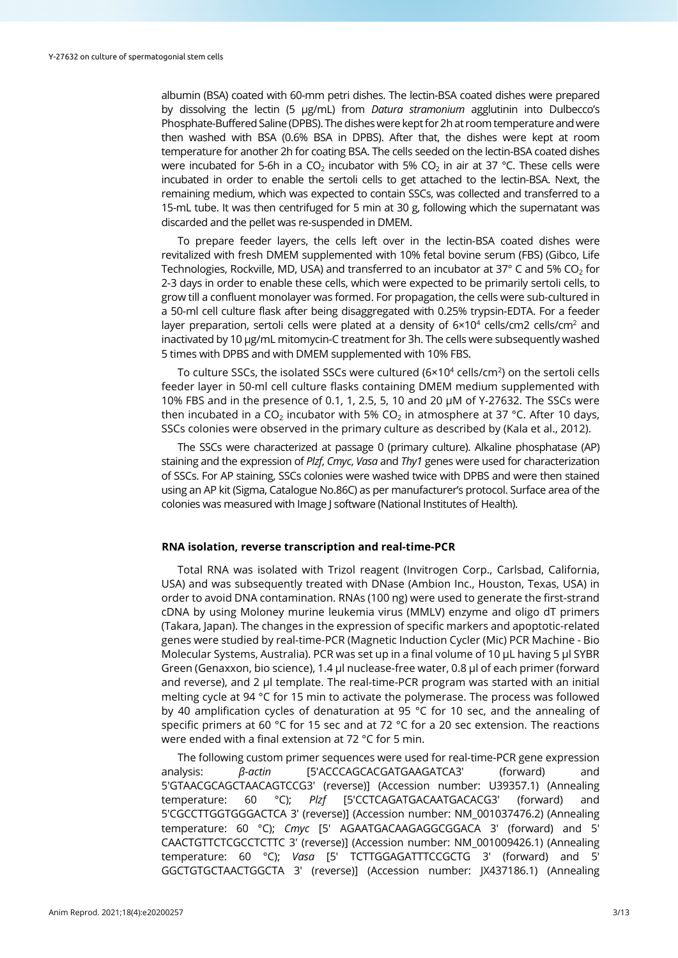albumin (BSA) coated with 60-mm petri dishes. The lectin-BSA coated dishes were prepared by dissolving the lectin (5 µg/mL) from *Datura stramonium* agglutinin into Dulbecco's Phosphate-Buffered Saline (DPBS). The dishes were kept for 2h at room temperature and were then washed with BSA (0.6% BSA in DPBS). After that, the dishes were kept at room temperature for another 2h for coating BSA. The cells seeded on the lectin-BSA coated dishes were incubated for 5-6h in a CO<sub>2</sub> incubator with 5% CO<sub>2</sub> in air at 37 °C. These cells were incubated in order to enable the sertoli cells to get attached to the lectin-BSA. Next, the remaining medium, which was expected to contain SSCs, was collected and transferred to a 15-mL tube. It was then centrifuged for 5 min at 30 g, following which the supernatant was discarded and the pellet was re-suspended in DMEM.

To prepare feeder layers, the cells left over in the lectin-BSA coated dishes were revitalized with fresh DMEM supplemented with 10% fetal bovine serum (FBS) (Gibco, Life Technologies, Rockville, MD, USA) and transferred to an incubator at 37 $\degree$  C and 5% CO<sub>2</sub> for 2-3 days in order to enable these cells, which were expected to be primarily sertoli cells, to grow till a confluent monolayer was formed. For propagation, the cells were sub-cultured in a 50-ml cell culture flask after being disaggregated with 0.25% trypsin-EDTA. For a feeder layer preparation, sertoli cells were plated at a density of  $6 \times 10^4$  cells/cm2 cells/cm<sup>2</sup> and inactivated by 10 μg/mL mitomycin-C treatment for 3h. The cells were subsequently washed 5 times with DPBS and with DMEM supplemented with 10% FBS.

To culture SSCs, the isolated SSCs were cultured (6×10<sup>4</sup> cells/cm<sup>2</sup>) on the sertoli cells feeder layer in 50-ml cell culture flasks containing DMEM medium supplemented with 10% FBS and in the presence of 0.1, 1, 2.5, 5, 10 and 20  $\mu$ M of Y-27632. The SSCs were then incubated in a CO<sub>2</sub> incubator with 5% CO<sub>2</sub> in atmosphere at 37 °C. After 10 days, SSCs colonies were observed in the primary culture as described by (Kala et al., 2012).

The SSCs were characterized at passage 0 (primary culture). Alkaline phosphatase (AP) staining and the expression of *Plzf*, *Cmyc*, *Vasa* and *Thy1* genes were used for characterization of SSCs. For AP staining, SSCs colonies were washed twice with DPBS and were then stained using an AP kit (Sigma, Catalogue No.86C) as per manufacturer's protocol. Surface area of the colonies was measured with Image J software (National Institutes of Health).

#### **RNA isolation, reverse transcription and real-time-PCR**

Total RNA was isolated with Trizol reagent (Invitrogen Corp., Carlsbad, California, USA) and was subsequently treated with DNase (Ambion Inc., Houston, Texas, USA) in order to avoid DNA contamination. RNAs (100 ng) were used to generate the first-strand cDNA by using Moloney murine leukemia virus (MMLV) enzyme and oligo dT primers (Takara, Japan). The changes in the expression of specific markers and apoptotic-related genes were studied by real-time-PCR (Magnetic Induction Cycler (Mic) PCR Machine - Bio Molecular Systems, Australia). PCR was set up in a final volume of 10 μL having 5 µl SYBR Green (Genaxxon, bio science), 1.4 µl nuclease-free water, 0.8 µl of each primer (forward and reverse), and 2 µl template. The real-time-PCR program was started with an initial melting cycle at 94 °C for 15 min to activate the polymerase. The process was followed by 40 amplification cycles of denaturation at 95 °C for 10 sec, and the annealing of specific primers at 60 °C for 15 sec and at 72 °C for a 20 sec extension. The reactions were ended with a final extension at 72 °C for 5 min.

The following custom primer sequences were used for real-time-PCR gene expression analysis: *β-actin* [5'ACCCAGCACGATGAAGATCA3' (forward) and 5'GTAACGCAGCTAACAGTCCG3' (reverse)] (Accession number: U39357.1) (Annealing temperature: 60 °C); *Plzf* [5'CCTCAGATGACAATGACACG3' (forward) and 5'CGCCTTGGTGGGACTCA 3' (reverse)] (Accession number: NM\_001037476.2) (Annealing temperature: 60 °C); *Cmyc* [5' AGAATGACAAGAGGCGGACA 3' (forward) and 5' CAACTGTTCTCGCCTCTTC 3' (reverse)] (Accession number: NM\_001009426.1) (Annealing temperature: 60 °C); *Vasa* [5' TCTTGGAGATTTCCGCTG 3' (forward) and 5' GGCTGTGCTAACTGGCTA 3' (reverse)] (Accession number: JX437186.1) (Annealing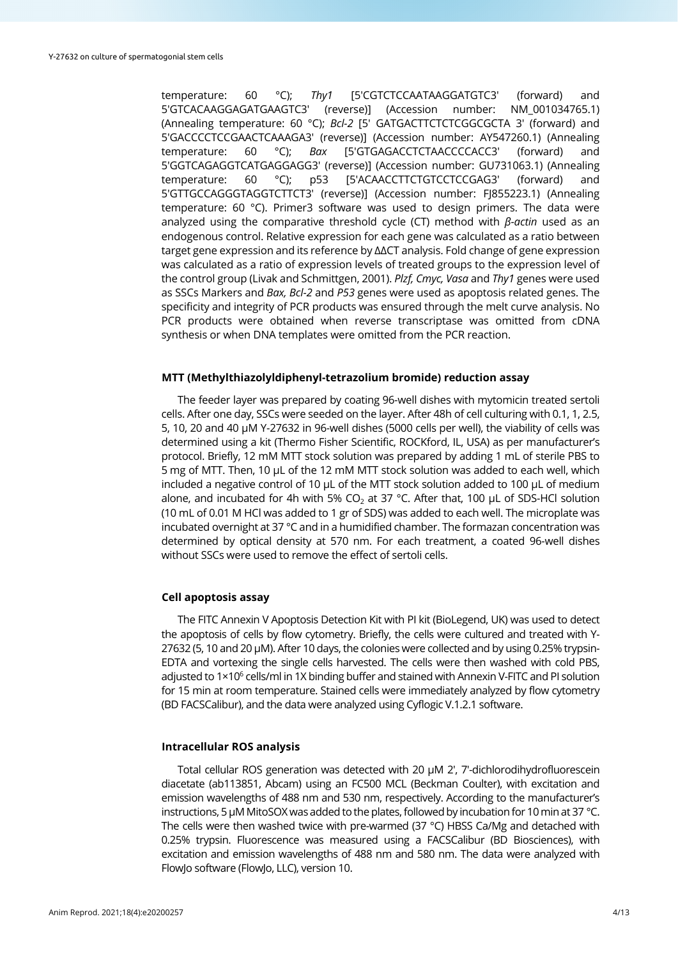temperature: 60 °C); *Thy1* [5'CGTCTCCAATAAGGATGTC3' (forward) and 5'GTCACAAGGAGATGAAGTC3' (reverse)] (Accession number: NM\_001034765.1) (Annealing temperature: 60 °C); *Bcl-2* [5' GATGACTTCTCTCGGCGCTA 3' (forward) and 5'GACCCCTCCGAACTCAAAGA3' (reverse)] (Accession number: AY547260.1) (Annealing temperature: 60 °C); *Bax* [5'GTGAGACCTCTAACCCCACC3' (forward) and 5'GGTCAGAGGTCATGAGGAGG3' (reverse)] (Accession number: GU731063.1) (Annealing temperature: 60 °C); p53 [5'ACAACCTTCTGTCCTCCGAG3' (forward) and 5'GTTGCCAGGGTAGGTCTTCT3' (reverse)] (Accession number: FJ855223.1) (Annealing temperature: 60 °C). Primer3 software was used to design primers. The data were analyzed using the comparative threshold cycle (CT) method with *β-actin* used as an endogenous control. Relative expression for each gene was calculated as a ratio between target gene expression and its reference by ∆∆CT analysis. Fold change of gene expression was calculated as a ratio of expression levels of treated groups to the expression level of the control group (Livak and Schmittgen, 2001). *Plzf, Cmyc, Vasa* and *Thy1* genes were used as SSCs Markers and *Bax, Bcl-2* and *P53* genes were used as apoptosis related genes. The specificity and integrity of PCR products was ensured through the melt curve analysis. No PCR products were obtained when reverse transcriptase was omitted from cDNA synthesis or when DNA templates were omitted from the PCR reaction.

#### **MTT (Methylthiazolyldiphenyl-tetrazolium bromide) reduction assay**

The feeder layer was prepared by coating 96-well dishes with mytomicin treated sertoli cells. After one day, SSCs were seeded on the layer. After 48h of cell culturing with 0.1, 1, 2.5, 5, 10, 20 and 40 µM Y-27632 in 96-well dishes (5000 cells per well), the viability of cells was determined using a kit (Thermo Fisher Scientific, ROCKford, IL, USA) as per manufacturer's protocol. Briefly, 12 mM MTT stock solution was prepared by adding 1 mL of sterile PBS to 5 mg of MTT. Then, 10 µL of the 12 mM MTT stock solution was added to each well, which included a negative control of 10 µL of the MTT stock solution added to 100 µL of medium alone, and incubated for 4h with 5% CO<sub>2</sub> at 37 °C. After that, 100  $\mu$ L of SDS-HCl solution (10 mL of 0.01 M HCl was added to 1 gr of SDS) was added to each well. The microplate was incubated overnight at 37 °C and in a humidified chamber. The formazan concentration was determined by optical density at 570 nm. For each treatment, a coated 96-well dishes without SSCs were used to remove the effect of sertoli cells.

#### **Cell apoptosis assay**

The FITC Annexin V Apoptosis Detection Kit with PI kit (BioLegend, UK) was used to detect the apoptosis of cells by flow cytometry. Briefly, the cells were cultured and treated with Y-27632 (5, 10 and 20 µM). After 10 days, the colonies were collected and by using 0.25% trypsin-EDTA and vortexing the single cells harvested. The cells were then washed with cold PBS, adjusted to 1×10<sup>6</sup> cells/ml in 1X binding buffer and stained with Annexin V-FITC and PI solution for 15 min at room temperature. Stained cells were immediately analyzed by flow cytometry (BD FACSCalibur), and the data were analyzed using Cyflogic V.1.2.1 software.

#### **Intracellular ROS analysis**

Total cellular ROS generation was detected with 20 µM 2′, 7′-dichlorodihydrofluorescein diacetate (ab113851, Abcam) using an FC500 MCL (Beckman Coulter), with excitation and emission wavelengths of 488 nm and 530 nm, respectively. According to the manufacturer's instructions, 5 µM MitoSOX was added to the plates, followed by incubation for 10 min at 37 °C. The cells were then washed twice with pre-warmed (37  $\degree$ C) HBSS Ca/Mg and detached with 0.25% trypsin. Fluorescence was measured using a FACSCalibur (BD Biosciences), with excitation and emission wavelengths of 488 nm and 580 nm. The data were analyzed with FlowJo software (FlowJo, LLC), version 10.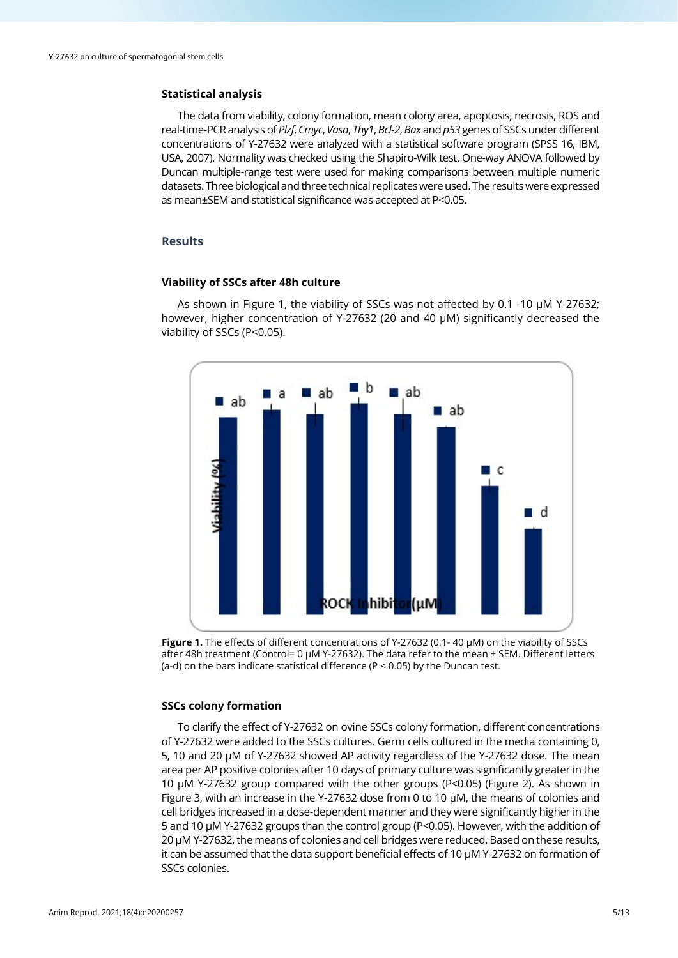## **Statistical analysis**

The data from viability, colony formation, mean colony area, apoptosis, necrosis, ROS and real-time-PCR analysis of *Plzf*, *Cmyc*, *Vasa*, *Thy1*, *Bcl-2*, *Bax* and *p53* genes of SSCs under different concentrations of Y-27632 were analyzed with a statistical software program (SPSS 16, IBM, USA, 2007). Normality was checked using the Shapiro-Wilk test. One-way ANOVA followed by Duncan multiple-range test were used for making comparisons between multiple numeric datasets. Three biological and three technical replicates were used. The results were expressed as mean±SEM and statistical significance was accepted at P<0.05.

#### **Results**

## **Viability of SSCs after 48h culture**

As shown in Figure 1, the viability of SSCs was not affected by 0.1 -10 µM Y-27632; however, higher concentration of Y-27632 (20 and 40 µM) significantly decreased the viability of SSCs (P<0.05).



**Figure 1.** The effects of different concentrations of Y-27632 (0.1- 40 µM) on the viability of SSCs after 48h treatment (Control= 0 µM Y-27632). The data refer to the mean ± SEM. Different letters (a-d) on the bars indicate statistical difference (P < 0.05) by the Duncan test.

## **SSCs colony formation**

To clarify the effect of Y-27632 on ovine SSCs colony formation, different concentrations of Y-27632 were added to the SSCs cultures. Germ cells cultured in the media containing 0, 5, 10 and 20 µM of Y-27632 showed AP activity regardless of the Y-27632 dose. The mean area per AP positive colonies after 10 days of primary culture was significantly greater in the 10 µM Y-27632 group compared with the other groups (P<0.05) (Figure 2). As shown in Figure 3, with an increase in the Y-27632 dose from 0 to 10 µM, the means of colonies and cell bridges increased in a dose-dependent manner and they were significantly higher in the 5 and 10 µM Y-27632 groups than the control group (P<0.05). However, with the addition of 20 µM Y-27632, the means of colonies and cell bridges were reduced. Based on these results, it can be assumed that the data support beneficial effects of 10 µM Y-27632 on formation of SSCs colonies.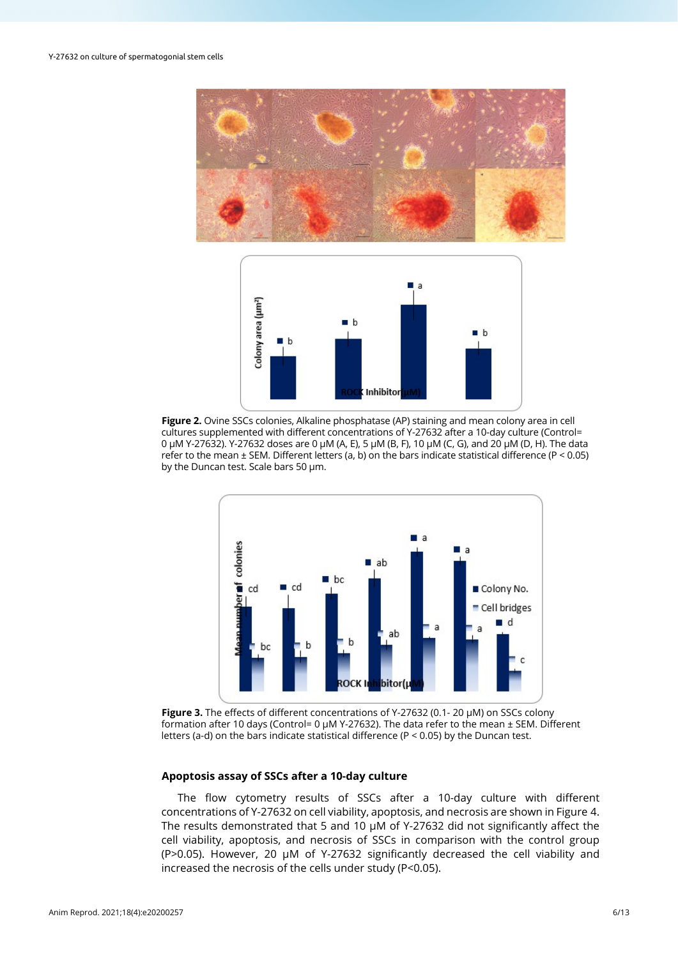



**Figure 2.** Ovine SSCs colonies, Alkaline phosphatase (AP) staining and mean colony area in cell cultures supplemented with different concentrations of Y-27632 after a 10-day culture (Control= 0 µM Y-27632). Y-27632 doses are 0 µM (A, E), 5 µM (B, F), 10 µM (C, G), and 20 µM (D, H). The data refer to the mean  $\pm$  SEM. Different letters (a, b) on the bars indicate statistical difference (P < 0.05) by the Duncan test. Scale bars 50 µm.



**Figure 3.** The effects of different concentrations of Y-27632 (0.1- 20 µM) on SSCs colony formation after 10 days (Control= 0 µM Y-27632). The data refer to the mean ± SEM. Different letters (a-d) on the bars indicate statistical difference (P < 0.05) by the Duncan test.

## **Apoptosis assay of SSCs after a 10-day culture**

The flow cytometry results of SSCs after a 10-day culture with different concentrations of Y-27632 on cell viability, apoptosis, and necrosis are shown in Figure 4. The results demonstrated that 5 and 10 µM of Y-27632 did not significantly affect the cell viability, apoptosis, and necrosis of SSCs in comparison with the control group (P>0.05). However, 20 µM of Y-27632 significantly decreased the cell viability and increased the necrosis of the cells under study (P<0.05).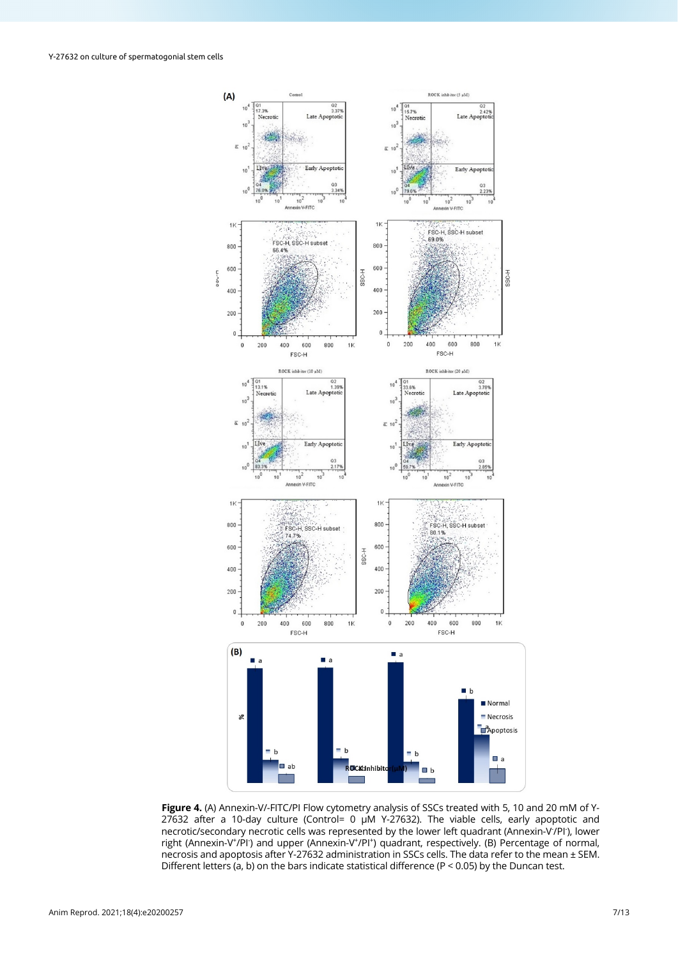

**Figure 4.** (A) Annexin-V/-FITC/PI Flow cytometry analysis of SSCs treated with 5, 10 and 20 mM of Y-27632 after a 10-day culture (Control= 0 µM Y-27632). The viable cells, early apoptotic and necrotic/secondary necrotic cells was represented by the lower left quadrant (Annexin-V<sup>-</sup>/Pl<sup>-</sup>), lower right (Annexin-V<sup>+</sup>/Pl<sup>-</sup>) and upper (Annexin-V<sup>+</sup>/Pl<sup>+</sup>) quadrant, respectively. (B) Percentage of normal, necrosis and apoptosis after Y-27632 administration in SSCs cells. The data refer to the mean ± SEM. Different letters (a, b) on the bars indicate statistical difference (P < 0.05) by the Duncan test.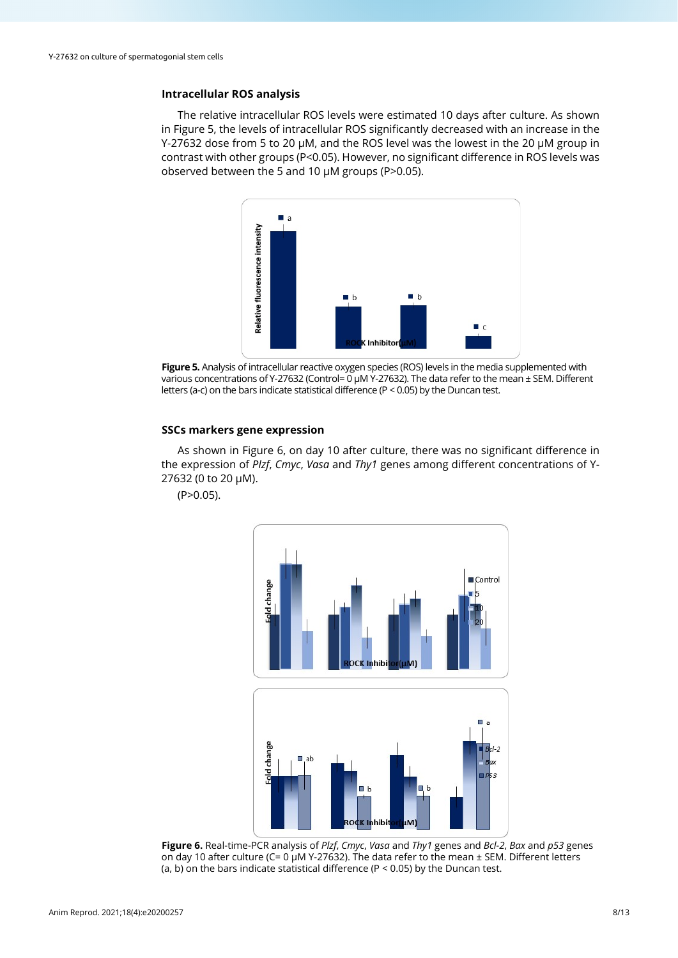# **Intracellular ROS analysis**

The relative intracellular ROS levels were estimated 10 days after culture. As shown in Figure 5, the levels of intracellular ROS significantly decreased with an increase in the Y-27632 dose from 5 to 20 µM, and the ROS level was the lowest in the 20 µM group in contrast with other groups (P<0.05). However, no significant difference in ROS levels was observed between the 5 and 10 µM groups (P>0.05).



**Figure 5.** Analysis of intracellular reactive oxygen species (ROS) levels in the media supplemented with various concentrations of Y-27632 (Control= 0 µM Y-27632). The data refer to the mean ± SEM. Different letters (a-c) on the bars indicate statistical difference (P < 0.05) by the Duncan test.

# **SSCs markers gene expression**

As shown in Figure 6, on day 10 after culture, there was no significant difference in the expression of *Plzf*, *Cmyc*, *Vasa* and *Thy1* genes among different concentrations of Y-27632 (0 to 20 µM).

 $(P>0.05)$ .



**Figure 6.** Real-time-PCR analysis of *Plzf*, *Cmyc*, *Vasa* and *Thy1* genes and *Bcl-2*, *Bax* and *p53* genes on day 10 after culture (C= 0 µM Y-27632). The data refer to the mean ± SEM. Different letters (a, b) on the bars indicate statistical difference ( $P < 0.05$ ) by the Duncan test.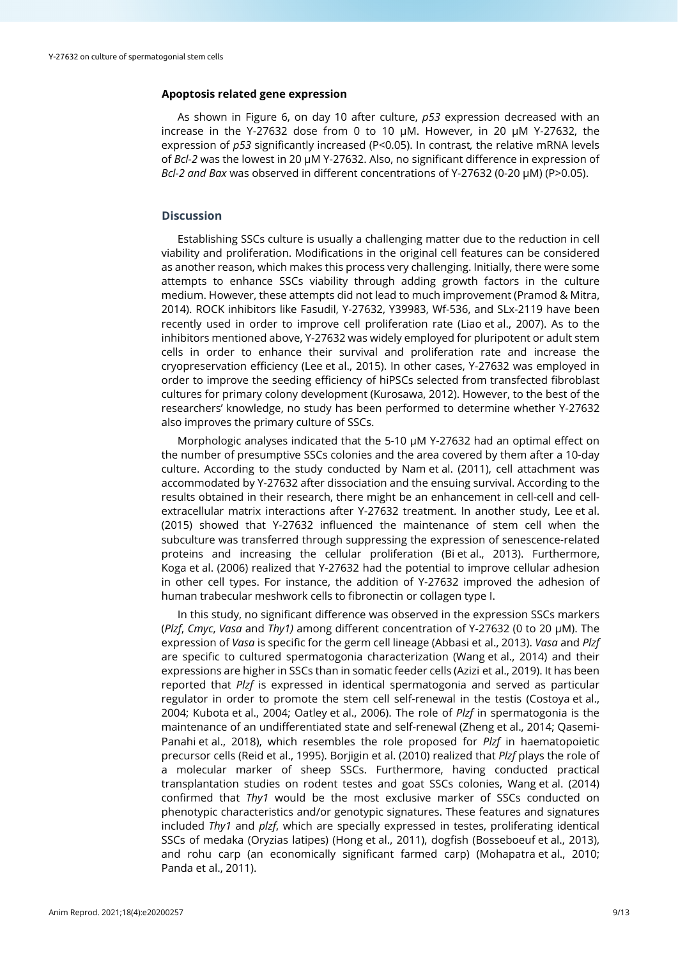## **Apoptosis related gene expression**

As shown in Figure 6, on day 10 after culture, *p53* expression decreased with an increase in the Y-27632 dose from 0 to 10  $\mu$ M. However, in 20  $\mu$ M Y-27632, the expression of *p53* significantly increased (P<0.05). In contrast*,* the relative mRNA levels of *Bcl-2* was the lowest in 20 µM Y-27632. Also, no significant difference in expression of *Bcl-2 and Bax* was observed in different concentrations of Y-27632 (0-20 µM) (P>0.05).

## **Discussion**

Establishing SSCs culture is usually a challenging matter due to the reduction in cell viability and proliferation. Modifications in the original cell features can be considered as another reason, which makes this process very challenging. Initially, there were some attempts to enhance SSCs viability through adding growth factors in the culture medium. However, these attempts did not lead to much improvement (Pramod & Mitra, 2014). ROCK inhibitors like Fasudil, Y-27632, Y39983, Wf-536, and SLx-2119 have been recently used in order to improve cell proliferation rate (Liao et al., 2007). As to the inhibitors mentioned above, Y-27632 was widely employed for pluripotent or adult stem cells in order to enhance their survival and proliferation rate and increase the cryopreservation efficiency (Lee et al., 2015). In other cases, Y-27632 was employed in order to improve the seeding efficiency of hiPSCs selected from transfected fibroblast cultures for primary colony development (Kurosawa, 2012). However, to the best of the researchers' knowledge, no study has been performed to determine whether Y-27632 also improves the primary culture of SSCs.

Morphologic analyses indicated that the 5-10  $\mu$ M Y-27632 had an optimal effect on the number of presumptive SSCs colonies and the area covered by them after a 10-day culture. According to the study conducted by Nam et al. (2011), cell attachment was accommodated by Y-27632 after dissociation and the ensuing survival. According to the results obtained in their research, there might be an enhancement in cell-cell and cellextracellular matrix interactions after Y-27632 treatment. In another study, Lee et al. (2015) showed that Y-27632 influenced the maintenance of stem cell when the subculture was transferred through suppressing the expression of senescence-related proteins and increasing the cellular proliferation (Bi et al., 2013). Furthermore, Koga et al. (2006) realized that Y-27632 had the potential to improve cellular adhesion in other cell types. For instance, the addition of Y-27632 improved the adhesion of human trabecular meshwork cells to fibronectin or collagen type I.

In this study, no significant difference was observed in the expression SSCs markers (*Plzf*, *Cmyc*, *Vasa* and *Thy1)* among different concentration of Y-27632 (0 to 20 µM). The expression of *Vasa* is specific for the germ cell lineage (Abbasi et al., 2013). *Vasa* and *Plzf* are specific to cultured spermatogonia characterization (Wang et al., 2014) and their expressions are higher in SSCs than in somatic feeder cells (Azizi et al., 2019). It has been reported that *Plzf* is expressed in identical spermatogonia and served as particular regulator in order to promote the stem cell self-renewal in the testis (Costoya et al., 2004; Kubota et al., 2004; Oatley et al., 2006). The role of *Plzf* in spermatogonia is the maintenance of an undifferentiated state and self-renewal (Zheng et al., 2014; Qasemi-Panahi et al., 2018), which resembles the role proposed for *Plzf* in haematopoietic precursor cells (Reid et al., 1995). Borjigin et al. (2010) realized that *Plzf* plays the role of a molecular marker of sheep SSCs. Furthermore, having conducted practical transplantation studies on rodent testes and goat SSCs colonies, Wang et al. (2014) confirmed that *Thy1* would be the most exclusive marker of SSCs conducted on phenotypic characteristics and/or genotypic signatures. These features and signatures included *Thy1* and *plzf*, which are specially expressed in testes, proliferating identical SSCs of medaka (Oryzias latipes) (Hong et al., 2011), dogfish (Bosseboeuf et al., 2013), and rohu carp (an economically significant farmed carp) (Mohapatra et al., 2010; Panda et al., 2011).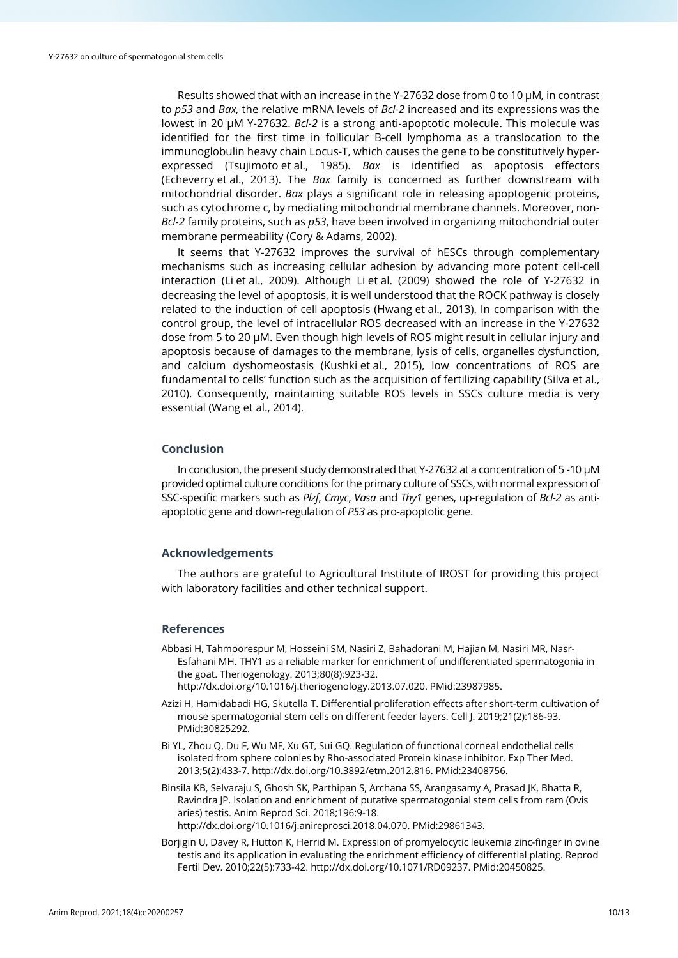Results showed that with an increase in the Y-27632 dose from 0 to 10 µM*,* in contrast to *p53* and *Bax,* the relative mRNA levels of *Bcl-2* increased and its expressions was the lowest in 20 µM Y-27632. *Bcl-2* is a strong anti-apoptotic molecule. This molecule was identified for the first time in follicular B-cell lymphoma as a translocation to the immunoglobulin heavy chain Locus-T, which causes the gene to be constitutively hyperexpressed (Tsujimoto et al., 1985). *Bax* is identified as apoptosis effectors (Echeverry et al., 2013). The *Bax* family is concerned as further downstream with mitochondrial disorder. *Bax* plays a significant role in releasing apoptogenic proteins, such as cytochrome c, by mediating mitochondrial membrane channels. Moreover, non-*Bcl-2* family proteins, such as *p53*, have been involved in organizing mitochondrial outer membrane permeability (Cory & Adams, 2002).

It seems that Y-27632 improves the survival of hESCs through complementary mechanisms such as increasing cellular adhesion by advancing more potent cell-cell interaction (Li et al., 2009). Although Li et al. (2009) showed the role of Y-27632 in decreasing the level of apoptosis, it is well understood that the ROCK pathway is closely related to the induction of cell apoptosis (Hwang et al., 2013). In comparison with the control group, the level of intracellular ROS decreased with an increase in the Y-27632 dose from 5 to 20 µM. Even though high levels of ROS might result in cellular injury and apoptosis because of damages to the membrane, lysis of cells, organelles dysfunction, and calcium dyshomeostasis (Kushki et al., 2015), low concentrations of ROS are fundamental to cells' function such as the acquisition of fertilizing capability (Silva et al., 2010). Consequently, maintaining suitable ROS levels in SSCs culture media is very essential (Wang et al., 2014).

## **Conclusion**

In conclusion, the present study demonstrated that Y-27632 at a concentration of 5 -10 µM provided optimal culture conditions for the primary culture of SSCs, with normal expression of SSC-specific markers such as *Plzf*, *Cmyc*, *Vasa* and *Thy1* genes, up-regulation of *Bcl-2* as antiapoptotic gene and down-regulation of *P53* as pro-apoptotic gene.

# **Acknowledgements**

The authors are grateful to Agricultural Institute of IROST for providing this project with laboratory facilities and other technical support.

#### **References**

- Abbasi H, Tahmoorespur M, Hosseini SM, Nasiri Z, Bahadorani M, Hajian M, Nasiri MR, Nasr-Esfahani MH. THY1 as a reliable marker for enrichment of undifferentiated spermatogonia in the goat. Theriogenology. 2013;80(8):923-32. [http://dx.doi.org/10.1016/j.theriogenology.2013.07.020.](https://doi.org/10.1016/j.theriogenology.2013.07.020) [PMid:23987985.](https://www.ncbi.nlm.nih.gov/entrez/query.fcgi?cmd=Retrieve&db=PubMed&list_uids=23987985&dopt=Abstract)
- Azizi H, Hamidabadi HG, Skutella T. Differential proliferation effects after short-term cultivation of mouse spermatogonial stem cells on different feeder layers. Cell J. 2019;21(2):186-9[3.](https://www.ncbi.nlm.nih.gov/entrez/query.fcgi?cmd=Retrieve&db=PubMed&list_uids=30825292&dopt=Abstract) [PMid:30825292.](https://www.ncbi.nlm.nih.gov/entrez/query.fcgi?cmd=Retrieve&db=PubMed&list_uids=30825292&dopt=Abstract)
- Bi YL, Zhou Q, Du F, Wu MF, Xu GT, Sui GQ. Regulation of functional corneal endothelial cells isolated from sphere colonies by Rho-associated Protein kinase inhibitor. Exp Ther Med. 2013;5(2):433-7[. http://dx.doi.org/10.3892/etm.2012.816.](https://doi.org/10.3892/etm.2012.816) [PMid:23408756.](https://www.ncbi.nlm.nih.gov/entrez/query.fcgi?cmd=Retrieve&db=PubMed&list_uids=23408756&dopt=Abstract)
- Binsila KB, Selvaraju S, Ghosh SK, Parthipan S, Archana SS, Arangasamy A, Prasad JK, Bhatta R, Ravindra JP. Isolation and enrichment of putative spermatogonial stem cells from ram (Ovis aries) testis. Anim Reprod Sci. 2018;196:9-18. [http://dx.doi.org/10.1016/j.anireprosci.2018.04.070.](https://doi.org/10.1016/j.anireprosci.2018.04.070) [PMid:29861343.](https://www.ncbi.nlm.nih.gov/entrez/query.fcgi?cmd=Retrieve&db=PubMed&list_uids=29861343&dopt=Abstract)
- Borjigin U, Davey R, Hutton K, Herrid M. Expression of promyelocytic leukemia zinc-finger in ovine testis and its application in evaluating the enrichment efficiency of differential plating. Reprod Fertil Dev. 2010;22(5):733-42. [http://dx.doi.org/10.1071/RD09237.](https://doi.org/10.1071/RD09237) [PMid:20450825.](https://www.ncbi.nlm.nih.gov/entrez/query.fcgi?cmd=Retrieve&db=PubMed&list_uids=20450825&dopt=Abstract)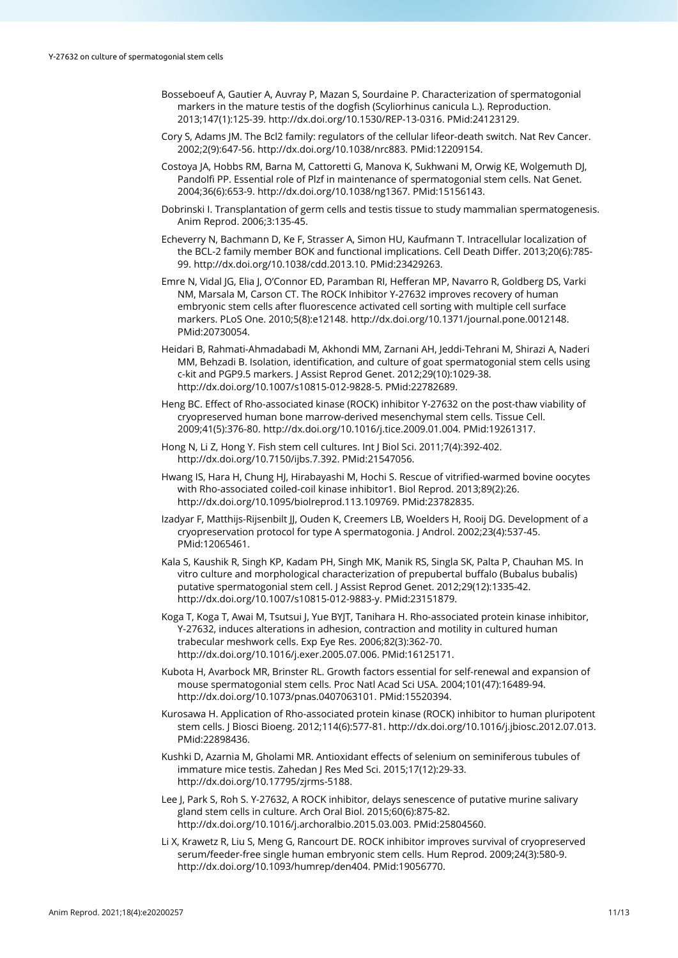- Bosseboeuf A, Gautier A, Auvray P, Mazan S, Sourdaine P. Characterization of spermatogonial markers in the mature testis of the dogfish (Scyliorhinus canicula L.). Reproduction. 2013;147(1):125-39. [http://dx.doi.org/10.1530/REP-13-0316.](https://doi.org/10.1530/REP-13-0316) [PMid:24123129.](https://www.ncbi.nlm.nih.gov/entrez/query.fcgi?cmd=Retrieve&db=PubMed&list_uids=24123129&dopt=Abstract)
- Cory S, Adams JM. The Bcl2 family: regulators of the cellular lifeor-death switch. Nat Rev Cancer. 2002;2(9):647-56[. http://dx.doi.org/10.1038/nrc883.](https://doi.org/10.1038/nrc883) [PMid:12209154.](https://www.ncbi.nlm.nih.gov/entrez/query.fcgi?cmd=Retrieve&db=PubMed&list_uids=12209154&dopt=Abstract)
- Costoya JA, Hobbs RM, Barna M, Cattoretti G, Manova K, Sukhwani M, Orwig KE, Wolgemuth DJ, Pandolfi PP. Essential role of Plzf in maintenance of spermatogonial stem cells. Nat Genet. 2004;36(6):653-9[. http://dx.doi.org/10.1038/ng1367.](https://doi.org/10.1038/ng1367) [PMid:15156143.](https://www.ncbi.nlm.nih.gov/entrez/query.fcgi?cmd=Retrieve&db=PubMed&list_uids=15156143&dopt=Abstract)
- Dobrinski I. Transplantation of germ cells and testis tissue to study mammalian spermatogenesis. Anim Reprod. 2006;3:135-45.
- Echeverry N, Bachmann D, Ke F, Strasser A, Simon HU, Kaufmann T. Intracellular localization of the BCL-2 family member BOK and functional implications. Cell Death Differ. 2013;20(6):785- 99. [http://dx.doi.org/10.1038/cdd.2013.10.](https://doi.org/10.1038/cdd.2013.10) [PMid:23429263.](https://www.ncbi.nlm.nih.gov/entrez/query.fcgi?cmd=Retrieve&db=PubMed&list_uids=23429263&dopt=Abstract)
- Emre N, Vidal JG, Elia J, O'Connor ED, Paramban RI, Hefferan MP, Navarro R, Goldberg DS, Varki NM, Marsala M, Carson CT. The ROCK Inhibitor Y-27632 improves recovery of human embryonic stem cells after fluorescence activated cell sorting with multiple cell surface markers. PLoS One. 2010;5(8):e12148. [http://dx.doi.org/10.1371/journal.pone.0012148.](https://doi.org/10.1371/journal.pone.0012148) [PMid:20730054.](https://www.ncbi.nlm.nih.gov/entrez/query.fcgi?cmd=Retrieve&db=PubMed&list_uids=20730054&dopt=Abstract)
- Heidari B, Rahmati-Ahmadabadi M, Akhondi MM, Zarnani AH, Jeddi-Tehrani M, Shirazi A, Naderi MM, Behzadi B. Isolation, identification, and culture of goat spermatogonial stem cells using c-kit and PGP9.5 markers. J Assist Reprod Genet. 2012;29(10):1029-38. [http://dx.doi.org/10.1007/s10815-012-9828-5.](https://doi.org/10.1007/s10815-012-9828-5) [PMid:22782689.](https://www.ncbi.nlm.nih.gov/entrez/query.fcgi?cmd=Retrieve&db=PubMed&list_uids=22782689&dopt=Abstract)
- Heng BC. Effect of Rho-associated kinase (ROCK) inhibitor Y-27632 on the post-thaw viability of cryopreserved human bone marrow-derived mesenchymal stem cells. Tissue Cell. 2009;41(5):376-80. [http://dx.doi.org/10.1016/j.tice.2009.01.004.](https://doi.org/10.1016/j.tice.2009.01.004) [PMid:19261317.](https://www.ncbi.nlm.nih.gov/entrez/query.fcgi?cmd=Retrieve&db=PubMed&list_uids=19261317&dopt=Abstract)
- Hong N, Li Z, Hong Y. Fish stem cell cultures. Int J Biol Sci. 2011;7(4):392-402. [http://dx.doi.org/10.7150/ijbs.7.392.](https://doi.org/10.7150/ijbs.7.392) [PMid:21547056.](https://www.ncbi.nlm.nih.gov/entrez/query.fcgi?cmd=Retrieve&db=PubMed&list_uids=21547056&dopt=Abstract)
- Hwang IS, Hara H, Chung HJ, Hirabayashi M, Hochi S. Rescue of vitrified-warmed bovine oocytes with Rho-associated coiled-coil kinase inhibitor1. Biol Reprod. 2013;89(2):26. [http://dx.doi.org/10.1095/biolreprod.113.109769.](https://doi.org/10.1095/biolreprod.113.109769) [PMid:23782835.](https://www.ncbi.nlm.nih.gov/entrez/query.fcgi?cmd=Retrieve&db=PubMed&list_uids=23782835&dopt=Abstract)
- Izadyar F, Matthijs-Rijsenbilt JJ, Ouden K, Creemers LB, Woelders H, Rooij DG. Development of a cryopreservation protocol for type A spermatogonia. J Androl. 2002;23(4):537-4[5.](https://www.ncbi.nlm.nih.gov/entrez/query.fcgi?cmd=Retrieve&db=PubMed&list_uids=12065461&dopt=Abstract) [PMid:12065461.](https://www.ncbi.nlm.nih.gov/entrez/query.fcgi?cmd=Retrieve&db=PubMed&list_uids=12065461&dopt=Abstract)
- Kala S, Kaushik R, Singh KP, Kadam PH, Singh MK, Manik RS, Singla SK, Palta P, Chauhan MS. In vitro culture and morphological characterization of prepubertal buffalo (Bubalus bubalis) putative spermatogonial stem cell. J Assist Reprod Genet. 2012;29(12):1335-42. [http://dx.doi.org/10.1007/s10815-012-9883-y.](https://doi.org/10.1007/s10815-012-9883-y) [PMid:23151879.](https://www.ncbi.nlm.nih.gov/entrez/query.fcgi?cmd=Retrieve&db=PubMed&list_uids=23151879&dopt=Abstract)
- Koga T, Koga T, Awai M, Tsutsui J, Yue BYJT, Tanihara H. Rho-associated protein kinase inhibitor, Y-27632, induces alterations in adhesion, contraction and motility in cultured human trabecular meshwork cells. Exp Eye Res. 2006;82(3):362-70. [http://dx.doi.org/10.1016/j.exer.2005.07.006.](https://doi.org/10.1016/j.exer.2005.07.006) [PMid:16125171.](https://www.ncbi.nlm.nih.gov/entrez/query.fcgi?cmd=Retrieve&db=PubMed&list_uids=16125171&dopt=Abstract)
- Kubota H, Avarbock MR, Brinster RL. Growth factors essential for self-renewal and expansion of mouse spermatogonial stem cells. Proc Natl Acad Sci USA. 2004;101(47):16489-94. [http://dx.doi.org/10.1073/pnas.0407063101.](https://doi.org/10.1073/pnas.0407063101) [PMid:15520394.](https://www.ncbi.nlm.nih.gov/entrez/query.fcgi?cmd=Retrieve&db=PubMed&list_uids=15520394&dopt=Abstract)
- Kurosawa H. Application of Rho-associated protein kinase (ROCK) inhibitor to human pluripotent stem cells. J Biosci Bioeng. 2012;114(6):577-81. [http://dx.doi.org/10.1016/j.jbiosc.2012.07.013.](https://doi.org/10.1016/j.jbiosc.2012.07.013) [PMid:22898436.](https://www.ncbi.nlm.nih.gov/entrez/query.fcgi?cmd=Retrieve&db=PubMed&list_uids=22898436&dopt=Abstract)
- Kushki D, Azarnia M, Gholami MR. Antioxidant effects of selenium on seminiferous tubules of immature mice testis. Zahedan J Res Med Sci. 2015;17(12):29-33. [http://dx.doi.org/10.17795/zjrms-5188.](https://doi.org/10.17795/zjrms-5188)
- Lee J, Park S, Roh S. Y-27632, A ROCK inhibitor, delays senescence of putative murine salivary gland stem cells in culture. Arch Oral Biol. 2015;60(6):875-82. [http://dx.doi.org/10.1016/j.archoralbio.2015.03.003.](https://doi.org/10.1016/j.archoralbio.2015.03.003) [PMid:25804560.](https://www.ncbi.nlm.nih.gov/entrez/query.fcgi?cmd=Retrieve&db=PubMed&list_uids=25804560&dopt=Abstract)
- Li X, Krawetz R, Liu S, Meng G, Rancourt DE. ROCK inhibitor improves survival of cryopreserved serum/feeder-free single human embryonic stem cells. Hum Reprod. 2009;24(3):580-9. [http://dx.doi.org/10.1093/humrep/den404.](https://doi.org/10.1093/humrep/den404) [PMid:19056770.](https://www.ncbi.nlm.nih.gov/entrez/query.fcgi?cmd=Retrieve&db=PubMed&list_uids=19056770&dopt=Abstract)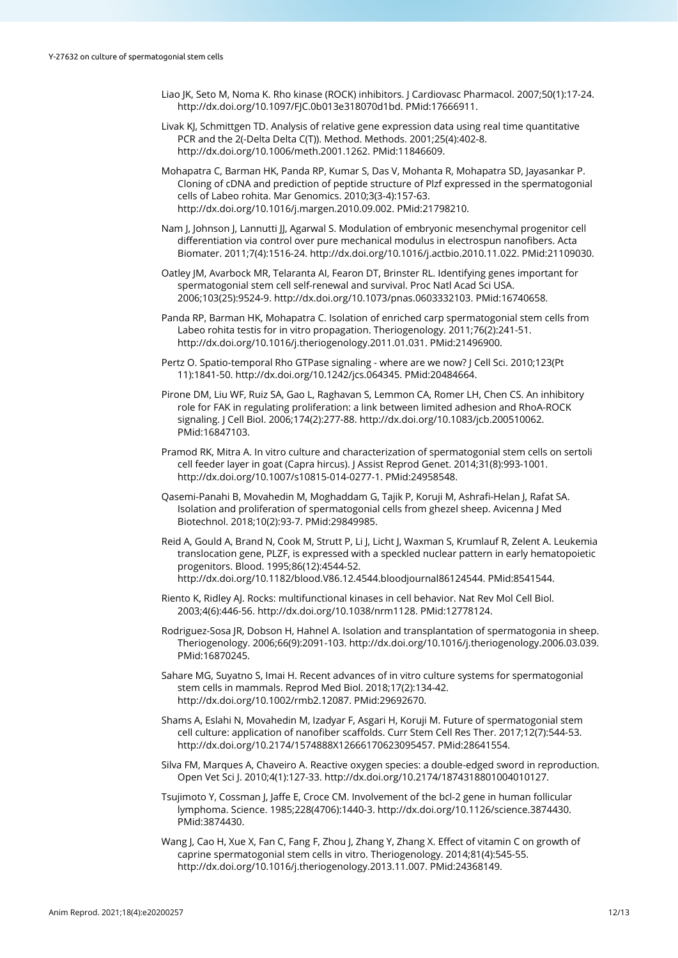- Liao JK, Seto M, Noma K. Rho kinase (ROCK) inhibitors. J Cardiovasc Pharmacol. 2007;50(1):17-24. [http://dx.doi.org/10.1097/FJC.0b013e318070d1bd.](https://doi.org/10.1097/FJC.0b013e318070d1bd) [PMid:17666911.](https://www.ncbi.nlm.nih.gov/entrez/query.fcgi?cmd=Retrieve&db=PubMed&list_uids=17666911&dopt=Abstract)
- Livak KJ, Schmittgen TD. Analysis of relative gene expression data using real time quantitative PCR and the 2(-Delta Delta C(T)). Method. Methods. 2001;25(4):402-8. [http://dx.doi.org/10.1006/meth.2001.1262.](https://doi.org/10.1006/meth.2001.1262) [PMid:11846609.](https://www.ncbi.nlm.nih.gov/entrez/query.fcgi?cmd=Retrieve&db=PubMed&list_uids=11846609&dopt=Abstract)
- Mohapatra C, Barman HK, Panda RP, Kumar S, Das V, Mohanta R, Mohapatra SD, Jayasankar P. Cloning of cDNA and prediction of peptide structure of Plzf expressed in the spermatogonial cells of Labeo rohita. Mar Genomics. 2010;3(3-4):157-63. [http://dx.doi.org/10.1016/j.margen.2010.09.002.](https://doi.org/10.1016/j.margen.2010.09.002) [PMid:21798210.](https://www.ncbi.nlm.nih.gov/entrez/query.fcgi?cmd=Retrieve&db=PubMed&list_uids=21798210&dopt=Abstract)
- Nam J, Johnson J, Lannutti JJ, Agarwal S. Modulation of embryonic mesenchymal progenitor cell differentiation via control over pure mechanical modulus in electrospun nanofibers. Acta Biomater. 2011;7(4):1516-24[. http://dx.doi.org/10.1016/j.actbio.2010.11.022.](https://doi.org/10.1016/j.actbio.2010.11.022) [PMid:21109030.](https://www.ncbi.nlm.nih.gov/entrez/query.fcgi?cmd=Retrieve&db=PubMed&list_uids=21109030&dopt=Abstract)
- Oatley JM, Avarbock MR, Telaranta AI, Fearon DT, Brinster RL. Identifying genes important for spermatogonial stem cell self-renewal and survival. Proc Natl Acad Sci USA. 2006;103(25):9524-9. [http://dx.doi.org/10.1073/pnas.0603332103.](https://doi.org/10.1073/pnas.0603332103) [PMid:16740658.](https://www.ncbi.nlm.nih.gov/entrez/query.fcgi?cmd=Retrieve&db=PubMed&list_uids=16740658&dopt=Abstract)
- Panda RP, Barman HK, Mohapatra C. Isolation of enriched carp spermatogonial stem cells from Labeo rohita testis for in vitro propagation. Theriogenology. 2011;76(2):241-51. [http://dx.doi.org/10.1016/j.theriogenology.2011.01.031.](https://doi.org/10.1016/j.theriogenology.2011.01.031) [PMid:21496900.](https://www.ncbi.nlm.nih.gov/entrez/query.fcgi?cmd=Retrieve&db=PubMed&list_uids=21496900&dopt=Abstract)
- Pertz O. Spatio-temporal Rho GTPase signaling where are we now? J Cell Sci. 2010;123(Pt 11):1841-50. [http://dx.doi.org/10.1242/jcs.064345.](https://doi.org/10.1242/jcs.064345) [PMid:20484664.](https://www.ncbi.nlm.nih.gov/entrez/query.fcgi?cmd=Retrieve&db=PubMed&list_uids=20484664&dopt=Abstract)
- Pirone DM, Liu WF, Ruiz SA, Gao L, Raghavan S, Lemmon CA, Romer LH, Chen CS. An inhibitory role for FAK in regulating proliferation: a link between limited adhesion and RhoA-ROCK signaling. J Cell Biol. 2006;174(2):277-88. [http://dx.doi.org/10.1083/jcb.200510062.](https://doi.org/10.1083/jcb.200510062) [PMid:16847103.](https://www.ncbi.nlm.nih.gov/entrez/query.fcgi?cmd=Retrieve&db=PubMed&list_uids=16847103&dopt=Abstract)
- Pramod RK, Mitra A. In vitro culture and characterization of spermatogonial stem cells on sertoli cell feeder layer in goat (Capra hircus). J Assist Reprod Genet. 2014;31(8):993-1001. [http://dx.doi.org/10.1007/s10815-014-0277-1.](https://doi.org/10.1007/s10815-014-0277-1) [PMid:24958548.](https://www.ncbi.nlm.nih.gov/entrez/query.fcgi?cmd=Retrieve&db=PubMed&list_uids=24958548&dopt=Abstract)
- Qasemi-Panahi B, Movahedin M, Moghaddam G, Tajik P, Koruji M, Ashrafi-Helan J, Rafat SA. Isolation and proliferation of spermatogonial cells from ghezel sheep. Avicenna J Med Biotechnol. 2018;10(2):93-7. [PMid:29849985.](https://www.ncbi.nlm.nih.gov/entrez/query.fcgi?cmd=Retrieve&db=PubMed&list_uids=29849985&dopt=Abstract)
- Reid A, Gould A, Brand N, Cook M, Strutt P, Li J, Licht J, Waxman S, Krumlauf R, Zelent A. Leukemia translocation gene, PLZF, is expressed with a speckled nuclear pattern in early hematopoietic progenitors. Blood. 1995;86(12):4544-52. [http://dx.doi.org/10.1182/blood.V86.12.4544.bloodjournal86124544.](https://doi.org/10.1182/blood.V86.12.4544.bloodjournal86124544) [PMid:8541544.](https://www.ncbi.nlm.nih.gov/entrez/query.fcgi?cmd=Retrieve&db=PubMed&list_uids=8541544&dopt=Abstract)
- Riento K, Ridley AJ. Rocks: multifunctional kinases in cell behavior. Nat Rev Mol Cell Biol. 2003;4(6):446-56[. http://dx.doi.org/10.1038/nrm1128.](https://doi.org/10.1038/nrm1128) [PMid:12778124.](https://www.ncbi.nlm.nih.gov/entrez/query.fcgi?cmd=Retrieve&db=PubMed&list_uids=12778124&dopt=Abstract)
- Rodriguez-Sosa JR, Dobson H, Hahnel A. Isolation and transplantation of spermatogonia in sheep. Theriogenology. 2006;66(9):2091-103[. http://dx.doi.org/10.1016/j.theriogenology.2006.03.039](https://doi.org/10.1016/j.theriogenology.2006.03.039)[.](https://www.ncbi.nlm.nih.gov/entrez/query.fcgi?cmd=Retrieve&db=PubMed&list_uids=16870245&dopt=Abstract) [PMid:16870245.](https://www.ncbi.nlm.nih.gov/entrez/query.fcgi?cmd=Retrieve&db=PubMed&list_uids=16870245&dopt=Abstract)
- Sahare MG, Suyatno S, Imai H. Recent advances of in vitro culture systems for spermatogonial stem cells in mammals. Reprod Med Biol. 2018;17(2):134-42. [http://dx.doi.org/10.1002/rmb2.12087.](https://doi.org/10.1002/rmb2.12087) [PMid:29692670.](https://www.ncbi.nlm.nih.gov/entrez/query.fcgi?cmd=Retrieve&db=PubMed&list_uids=29692670&dopt=Abstract)
- Shams A, Eslahi N, Movahedin M, Izadyar F, Asgari H, Koruji M. Future of spermatogonial stem cell culture: application of nanofiber scaffolds. Curr Stem Cell Res Ther. 2017;12(7):544-53. [http://dx.doi.org/10.2174/1574888X12666170623095457.](https://doi.org/10.2174/1574888X12666170623095457) [PMid:28641554.](https://www.ncbi.nlm.nih.gov/entrez/query.fcgi?cmd=Retrieve&db=PubMed&list_uids=28641554&dopt=Abstract)
- Silva FM, Marques A, Chaveiro A. Reactive oxygen species: a double-edged sword in reproduction. Open Vet Sci J. 2010;4(1):127-33. [http://dx.doi.org/10.2174/1874318801004010127.](https://doi.org/10.2174/1874318801004010127)
- Tsujimoto Y, Cossman J, Jaffe E, Croce CM. Involvement of the bcl-2 gene in human follicular lymphoma. Science. 1985;228(4706):1440-3[. http://dx.doi.org/10.1126/science.3874430.](https://doi.org/10.1126/science.3874430) [PMid:3874430.](https://www.ncbi.nlm.nih.gov/entrez/query.fcgi?cmd=Retrieve&db=PubMed&list_uids=3874430&dopt=Abstract)
- Wang J, Cao H, Xue X, Fan C, Fang F, Zhou J, Zhang Y, Zhang X. Effect of vitamin C on growth of caprine spermatogonial stem cells in vitro. Theriogenology. 2014;81(4):545-55. [http://dx.doi.org/10.1016/j.theriogenology.2013.11.007.](https://doi.org/10.1016/j.theriogenology.2013.11.007) [PMid:24368149.](https://www.ncbi.nlm.nih.gov/entrez/query.fcgi?cmd=Retrieve&db=PubMed&list_uids=24368149&dopt=Abstract)